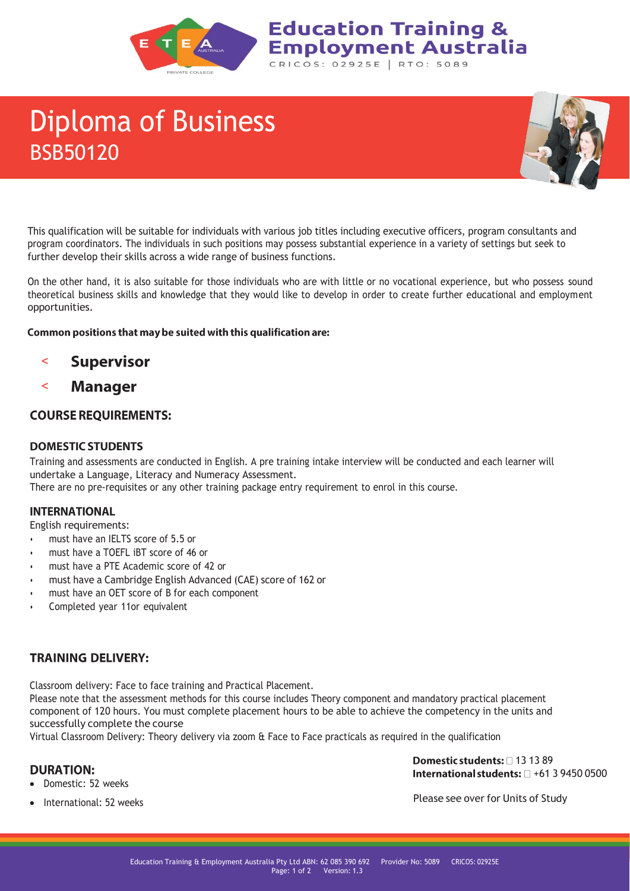

# Diploma of Business BSB50120



This qualification will be suitable for individuals with various job titles including executive officers, program consultants and program coordinators. The individuals in such positions may possess substantial experience in a variety of settings but seek to further develop their skills across a wide range of business functions.

**Education Training &** 

CRICOS: 02925E | RTO: 5089

**Employment Australia** 

On the other hand, it is also suitable for those individuals who are with little or no vocational experience, but who possess sound theoretical business skills and knowledge that they would like to develop in order to create further educational and employment opportunities.

#### Common positions that may be suited with this qualification are:

- **Supervisor**  $\prec$
- < **Manager**

# **COURSE REQUIREMENTS:**

### **DOMESTIC STUDENTS**

Training and assessments are conducted in English. A pre training intake interview will be conducted and each learner will undertake a Language, Literacy and Numeracy Assessment.

There are no pre-requisites or any other training package entry requirement to enrol in this course.

#### **INTERNATIONAL**

English requirements:

- must have an IELTS score of 5.5 or
- must have a TOEFL iBT score of 46 or
- must have a PTE Academic score of 42 or
- must have a Cambridge English Advanced (CAE) score of 162 or
- must have an OET score of B for each component
- Completed year 11or equivalent

# **TRAINING DELIVERY:**

Classroom delivery: Face to face training and Practical Placement.

Please note that the assessment methods for this course includes Theory component and mandatory practical placement component of 120 hours. You must complete placement hours to be able to achieve the competency in the units and successfully complete the course

Virtual Classroom Delivery: Theory delivery via zoom & Face to Face practicals as required in the qualification

# **DURATION:**

Domestic students:  $\Box$  13 13 89 International students:  $\Box$  +61 3 9450 0500

• Domestic: 52 weeks

Please see over for Units of Study

International: 52 weeks